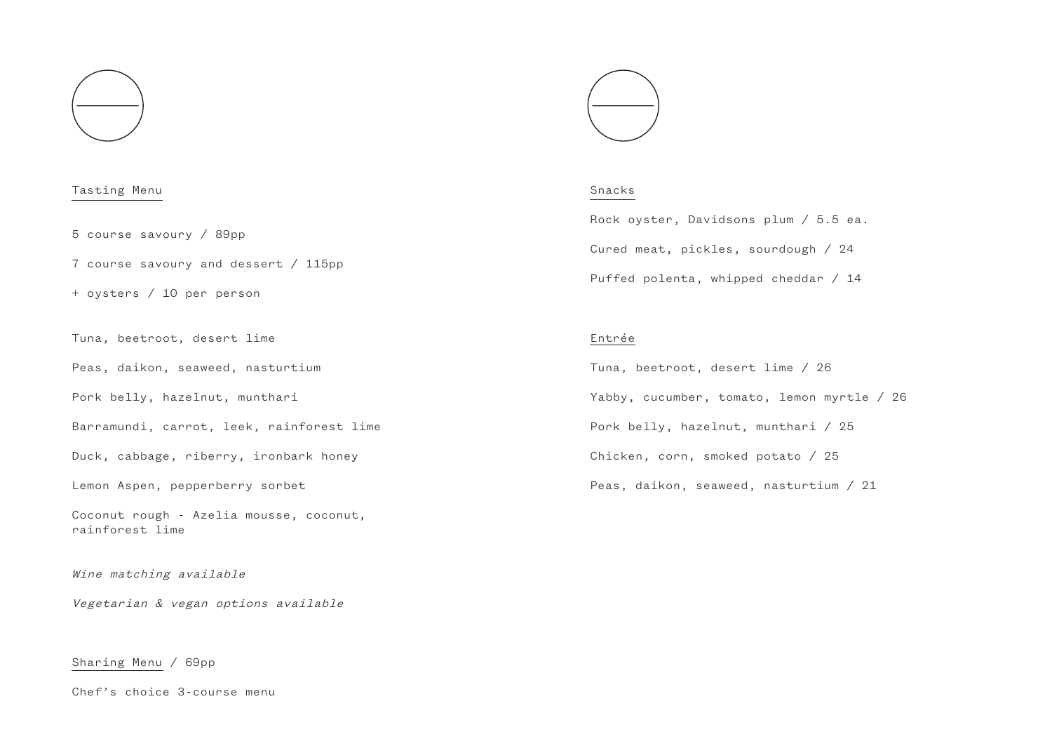

#### Tasting Menu

5 course savoury / 89pp

7 course savoury and dessert / 115pp

+ oysters / 10 per person

Tuna, beetroot, desert lime

Peas, daikon, seaweed, nasturtium

Pork belly, hazelnut, munthari

Barramundi, carrot, leek, rainforest lime

Duck, cabbage, riberry, ironbark honey

Lemon Aspen, pepperberry sorbet

Coconut rough - Azelia mousse, coconut, rainforest lime

Wine matching available

Vegetarian & vegan options available

Sharing Menu / 69pp

Chef's choice 3-course menu



### Snacks

Rock oyster, Davidsons plum / 5.5 ea. Cured meat, pickles, sourdough / 24 Puffed polenta, whipped cheddar / 14

#### Entrée

Tuna, beetroot, desert lime / 26 Yabby, cucumber, tomato, lemon myrtle / 26 Pork belly, hazelnut, munthari / 25 Chicken, corn, smoked potato / 25 Peas, daikon, seaweed, nasturtium / 21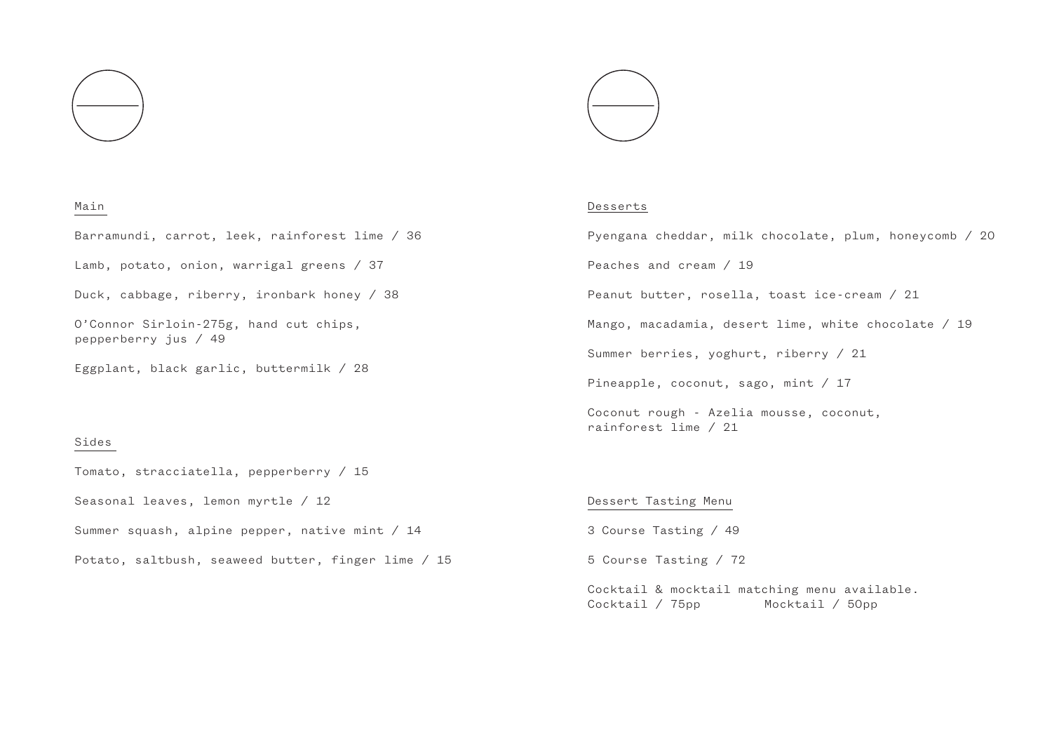



## Main

Barramundi, carrot, leek, rainforest lime / 36

Lamb, potato, onion, warrigal greens / 37

Duck, cabbage, riberry, ironbark honey / 38

O'Connor Sirloin-275g, hand cut chips, pepperberry jus / 49

Eggplant, black garlic, buttermilk / 28

## Sides

Tomato, stracciatella, pepperberry / 15 Seasonal leaves, lemon myrtle / 12 Summer squash, alpine pepper, native mint / 14 Potato, saltbush, seaweed butter, finger lime / 15

#### Desserts

Pyengana cheddar, milk chocolate, plum, honeycomb / 20 Peaches and cream / 19 Peanut butter, rosella, toast ice-cream / 21 Mango, macadamia, desert lime, white chocolate / 19 Summer berries, yoghurt, riberry / 21 Pineapple, coconut, sago, mint / 17 Coconut rough - Azelia mousse, coconut,

## Dessert Tasting Menu

rainforest lime / 21

3 Course Tasting / 49

5 Course Tasting / 72

Cocktail & mocktail matching menu available. Cocktail / 75pp Mocktail / 50pp